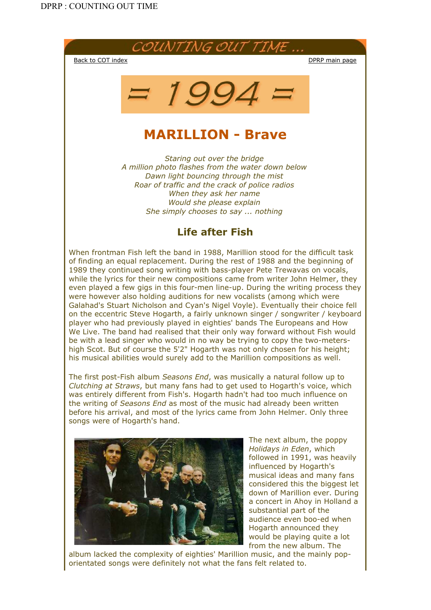



# MARILLION - Brave

*Staring out over the bridge A million photo flashes from the water down below Dawn light bouncing through the mist Roar of traffic and the crack of police radios When they ask her name Would she please explain She simply chooses to say ... nothing*

## Life after Fish

When frontman Fish left the band in 1988, Marillion stood for the difficult task of finding an equal replacement. During the rest of 1988 and the beginning of 1989 they continued song writing with bass-player Pete Trewavas on vocals, while the lyrics for their new compositions came from writer John Helmer, they even played a few gigs in this four-men line-up. During the writing process they were however also holding auditions for new vocalists (among which were Galahad's Stuart Nicholson and Cyan's Nigel Voyle). Eventually their choice fell on the eccentric Steve Hogarth, a fairly unknown singer / songwriter / keyboard player who had previously played in eighties' bands The Europeans and How We Live. The band had realised that their only way forward without Fish would be with a lead singer who would in no way be trying to copy the two-metershigh Scot. But of course the 5'2" Hogarth was not only chosen for his height; his musical abilities would surely add to the Marillion compositions as well.

The first post-Fish album *Seasons End*, was musically a natural follow up to *Clutching at Straws*, but many fans had to get used to Hogarth's voice, which was entirely different from Fish's. Hogarth hadn't had too much influence on the writing of *Seasons End* as most of the music had already been written before his arrival, and most of the lyrics came from John Helmer. Only three songs were of Hogarth's hand.



The next album, the poppy *Holidays in Eden*, which followed in 1991, was heavily influenced by Hogarth's musical ideas and many fans considered this the biggest let down of Marillion ever. During a concert in Ahoy in Holland a substantial part of the audience even boo-ed when Hogarth announced they would be playing quite a lot from the new album. The

album lacked the complexity of eighties' Marillion music, and the mainly poporientated songs were definitely not what the fans felt related to.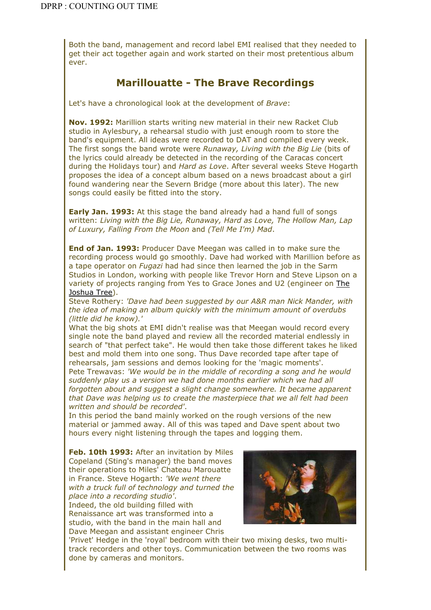Both the band, management and record label EMI realised that they needed to get their act together again and work started on their most pretentious album ever.

### Marillouatte - The Brave Recordings

Let's have a chronological look at the development of *Brave*:

Nov. 1992: Marillion starts writing new material in their new Racket Club studio in Aylesbury, a rehearsal studio with just enough room to store the band's equipment. All ideas were recorded to DAT and compiled every week. The first songs the band wrote were *Runaway, Living with the Big Lie* (bits of the lyrics could already be detected in the recording of the Caracas concert during the Holidays tour) and *Hard as Love*. After several weeks Steve Hogarth proposes the idea of a concept album based on a news broadcast about a girl found wandering near the Severn Bridge (more about this later). The new songs could easily be fitted into the story.

**Early Jan. 1993:** At this stage the band already had a hand full of songs written: *Living with the Big Lie, Runaway, Hard as Love, The Hollow Man, Lap of Luxury, Falling From the Moon* and *(Tell Me I'm) Mad*.

**End of Jan. 1993: Producer Dave Meegan was called in to make sure the** recording process would go smoothly. Dave had worked with Marillion before as a tape operator on *Fugazi* had had since then learned the job in the Sarm Studios in London, working with people like Trevor Horn and Steve Lipson on a variety of projects ranging from Yes to Grace Jones and U2 (engineer on The Joshua Tree).

Steve Rothery: *'Dave had been suggested by our A&R man Nick Mander, with the idea of making an album quickly with the minimum amount of overdubs (little did he know).'*

What the big shots at EMI didn't realise was that Meegan would record every single note the band played and review all the recorded material endlessly in search of "that perfect take". He would then take those different takes he liked best and mold them into one song. Thus Dave recorded tape after tape of rehearsals, jam sessions and demos looking for the 'magic moments'. Pete Trewavas: *'We would be in the middle of recording a song and he would suddenly play us a version we had done months earlier which we had all forgotten about and suggest a slight change somewhere. It became apparent that Dave was helping us to create the masterpiece that we all felt had been written and should be recorded'*.

In this period the band mainly worked on the rough versions of the new material or jammed away. All of this was taped and Dave spent about two hours every night listening through the tapes and logging them.

Feb. 10th 1993: After an invitation by Miles Copeland (Sting's manager) the band moves their operations to Miles' Chateau Marouatte in France. Steve Hogarth: *'We went there with a truck full of technology and turned the place into a recording studio'*. Indeed, the old building filled with Renaissance art was transformed into a studio, with the band in the main hall and

Dave Meegan and assistant engineer Chris



'Privet' Hedge in the 'royal' bedroom with their two mixing desks, two multitrack recorders and other toys. Communication between the two rooms was done by cameras and monitors.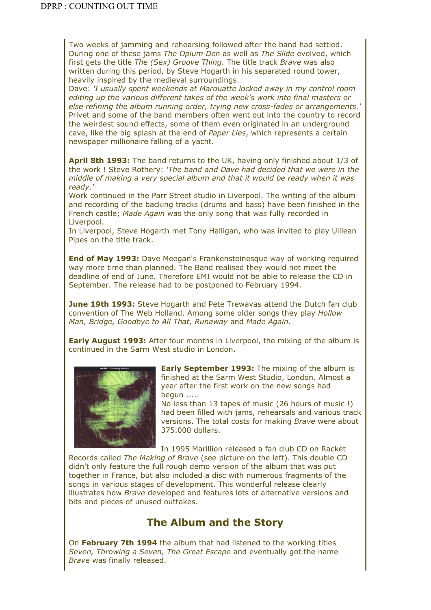Two weeks of jamming and rehearsing followed after the band had settled. During one of these jams *The Opium Den* as well as *The Slide* evolved, which first gets the title *The (Sex) Groove Thing*. The title track *Brave* was also written during this period, by Steve Hogarth in his separated round tower, heavily inspired by the medieval surroundings.

Dave: *'I usually spent weekends at Marouatte locked away in my control room editing up the various different takes of the week's work into final masters or else refining the album running order, trying new cross-fades or arrangements.'* Privet and some of the band members often went out into the country to record the weirdest sound effects, some of them even originated in an underground cave, like the big splash at the end of *Paper Lies*, which represents a certain newspaper millionaire falling of a yacht.

April 8th 1993: The band returns to the UK, having only finished about 1/3 of the work ! Steve Rothery: *'The band and Dave had decided that we were in the middle of making a very special album and that it would be ready when it was ready.'*

Work continued in the Parr Street studio in Liverpool. The writing of the album and recording of the backing tracks (drums and bass) have been finished in the French castle; *Made Again* was the only song that was fully recorded in Liverpool.

In Liverpool, Steve Hogarth met Tony Halligan, who was invited to play Uillean Pipes on the title track.

**End of May 1993:** Dave Meegan's Frankensteinesque way of working required way more time than planned. The Band realised they would not meet the deadline of end of June. Therefore EMI would not be able to release the CD in September. The release had to be postponed to February 1994.

**June 19th 1993:** Steve Hogarth and Pete Trewavas attend the Dutch fan club convention of The Web Holland. Among some older songs they play *Hollow Man, Bridge, Goodbye to All That, Runaway* and *Made Again*.

**Early August 1993:** After four months in Liverpool, the mixing of the album is continued in the Sarm West studio in London.



**Early September 1993:** The mixing of the album is finished at the Sarm West Studio, London. Almost a year after the first work on the new songs had begun .....

No less than 13 tapes of music (26 hours of music !) had been filled with jams, rehearsals and various track versions. The total costs for making *Brave* were about 375.000 dollars.

In 1995 Marillion released a fan club CD on Racket Records called *The Making of Brave* (see picture on the left). This double CD didn't only feature the full rough demo version of the album that was put together in France, but also included a disc with numerous fragments of the songs in various stages of development. This wonderful release clearly illustrates how *Brave* developed and features lots of alternative versions and bits and pieces of unused outtakes.

#### The Album and the Story

On February 7th 1994 the album that had listened to the working titles *Seven, Throwing a Seven, The Great Escape* and eventually got the name *Brave* was finally released.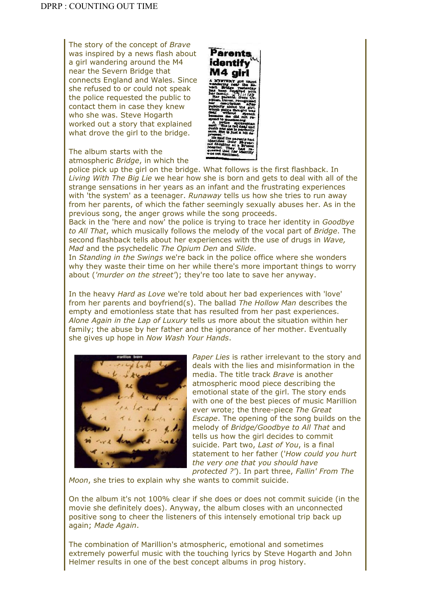The story of the concept of *Brave* was inspired by a news flash about a girl wandering around the M4 near the Severn Bridge that connects England and Wales. Since she refused to or could not speak the police requested the public to contact them in case they knew who she was. Steve Hogarth worked out a story that explained what drove the girl to the bridge.

The album starts with the atmospheric *Bridge*, in which the



police pick up the girl on the bridge. What follows is the first flashback. In *Living With The Big Lie* we hear how she is born and gets to deal with all of the strange sensations in her years as an infant and the frustrating experiences with 'the system' as a teenager. *Runaway* tells us how she tries to run away from her parents, of which the father seemingly sexually abuses her. As in the previous song, the anger grows while the song proceeds.

Back in the 'here and now' the police is trying to trace her identity in *Goodbye to All That*, which musically follows the melody of the vocal part of *Bridge*. The second flashback tells about her experiences with the use of drugs in *Wave, Mad* and the psychedelic *The Opium Den* and *Slide*.

In *Standing in the Swings* we're back in the police office where she wonders why they waste their time on her while there's more important things to worry about (*'murder on the street'*); they're too late to save her anyway.

In the heavy *Hard as Love* we're told about her bad experiences with 'love' from her parents and boyfriend(s). The ballad *The Hollow Man* describes the empty and emotionless state that has resulted from her past experiences. *Alone Again in the Lap of Luxury* tells us more about the situation within her family; the abuse by her father and the ignorance of her mother. Eventually she gives up hope in *Now Wash Your Hands*.



*Paper Lies* is rather irrelevant to the story and deals with the lies and misinformation in the media. The title track *Brave* is another atmospheric mood piece describing the emotional state of the girl. The story ends with one of the best pieces of music Marillion ever wrote; the three-piece *The Great Escape*. The opening of the song builds on the melody of *Bridge/Goodbye to All That* and tells us how the girl decides to commit suicide. Part two, *Last of You*, is a final statement to her father ('*How could you hurt the very one that you should have protected ?'*). In part three, *Fallin' From The* 

*Moon*, she tries to explain why she wants to commit suicide.

On the album it's not 100% clear if she does or does not commit suicide (in the movie she definitely does). Anyway, the album closes with an unconnected positive song to cheer the listeners of this intensely emotional trip back up again; *Made Again*.

The combination of Marillion's atmospheric, emotional and sometimes extremely powerful music with the touching lyrics by Steve Hogarth and John Helmer results in one of the best concept albums in prog history.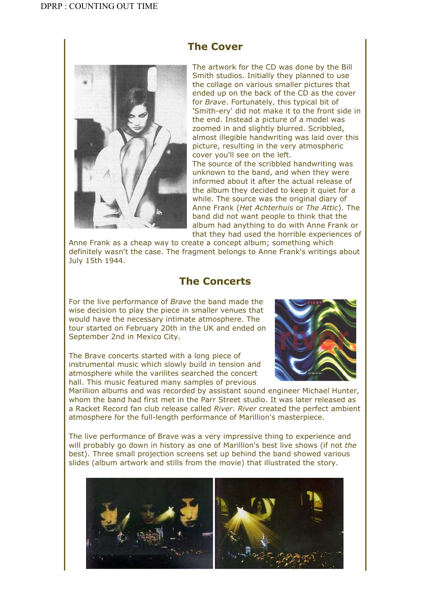

#### The Cover

The artwork for the CD was done by the Bill Smith studios. Initially they planned to use the collage on various smaller pictures that ended up on the back of the CD as the cover for *Brave*. Fortunately, this typical bit of 'Smith-ery' did not make it to the front side in the end. Instead a picture of a model was zoomed in and slightly blurred. Scribbled, almost illegible handwriting was laid over this picture, resulting in the very atmospheric cover you'll see on the left.

The source of the scribbled handwriting was unknown to the band, and when they were informed about it after the actual release of the album they decided to keep it quiet for a while. The source was the original diary of Anne Frank (*Het Achterhuis* or *The Attic*). The band did not want people to think that the album had anything to do with Anne Frank or that they had used the horrible experiences of

Anne Frank as a cheap way to create a concept album; something which definitely wasn't the case. The fragment belongs to Anne Frank's writings about July 15th 1944.

#### The Concerts

For the live performance of *Brave* the band made the wise decision to play the piece in smaller venues that would have the necessary intimate atmosphere. The tour started on February 20th in the UK and ended on September 2nd in Mexico City.

The Brave concerts started with a long piece of instrumental music which slowly build in tension and atmosphere while the varilites searched the concert hall. This music featured many samples of previous



Marillion albums and was recorded by assistant sound engineer Michael Hunter, whom the band had first met in the Parr Street studio. It was later released as a Racket Record fan club release called *River*. *River* created the perfect ambient atmosphere for the full-length performance of Marillion's masterpiece.

The live performance of Brave was a very impressive thing to experience and will probably go down in history as one of Marillion's best live shows (if not *the* best). Three small projection screens set up behind the band showed various slides (album artwork and stills from the movie) that illustrated the story.

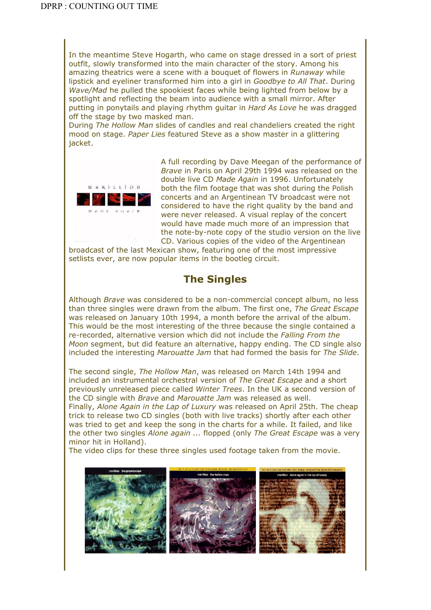In the meantime Steve Hogarth, who came on stage dressed in a sort of priest outfit, slowly transformed into the main character of the story. Among his amazing theatrics were a scene with a bouquet of flowers in *Runaway* while lipstick and eyeliner transformed him into a girl in *Goodbye to All That*. During *Wave/Mad* he pulled the spookiest faces while being lighted from below by a spotlight and reflecting the beam into audience with a small mirror. After putting in ponytails and playing rhythm guitar in *Hard As Love* he was dragged off the stage by two masked man.

During *The Hollow Man* slides of candles and real chandeliers created the right mood on stage. *Paper Lies* featured Steve as a show master in a glittering jacket.



A full recording by Dave Meegan of the performance of *Brave* in Paris on April 29th 1994 was released on the double live CD *Made Again* in 1996. Unfortunately both the film footage that was shot during the Polish concerts and an Argentinean TV broadcast were not considered to have the right quality by the band and were never released. A visual replay of the concert would have made much more of an impression that the note-by-note copy of the studio version on the live CD. Various copies of the video of the Argentinean

broadcast of the last Mexican show, featuring one of the most impressive setlists ever, are now popular items in the bootleg circuit.

#### The Singles

Although *Brave* was considered to be a non-commercial concept album, no less than three singles were drawn from the album. The first one, *The Great Escape* was released on January 10th 1994, a month before the arrival of the album. This would be the most interesting of the three because the single contained a re-recorded, alternative version which did not include the *Falling From the Moon* segment, but did feature an alternative, happy ending. The CD single also included the interesting *Marouatte Jam* that had formed the basis for *The Slide*.

The second single, *The Hollow Man*, was released on March 14th 1994 and included an instrumental orchestral version of *The Great Escape* and a short previously unreleased piece called *Winter Trees*. In the UK a second version of the CD single with *Brave* and *Marouatte Jam* was released as well.

Finally, *Alone Again in the Lap of Luxury* was released on April 25th. The cheap trick to release two CD singles (both with live tracks) shortly after each other was tried to get and keep the song in the charts for a while. It failed, and like the other two singles *Alone again ...* flopped (only *The Great Escape* was a very minor hit in Holland).

The video clips for these three singles used footage taken from the movie.

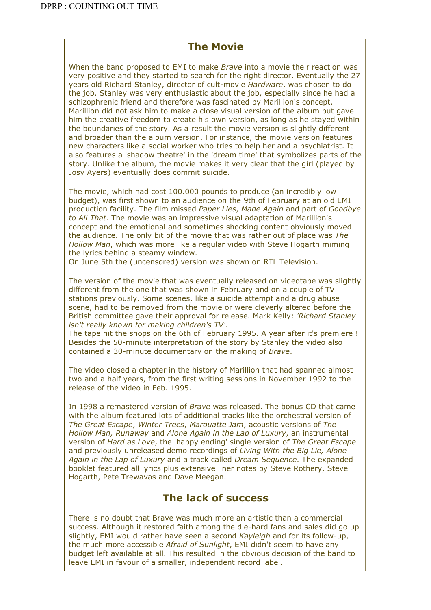#### The Movie

When the band proposed to EMI to make *Brave* into a movie their reaction was very positive and they started to search for the right director. Eventually the 27 years old Richard Stanley, director of cult-movie *Hardware*, was chosen to do the job. Stanley was very enthusiastic about the job, especially since he had a schizophrenic friend and therefore was fascinated by Marillion's concept. Marillion did not ask him to make a close visual version of the album but gave him the creative freedom to create his own version, as long as he stayed within the boundaries of the story. As a result the movie version is slightly different and broader than the album version. For instance, the movie version features new characters like a social worker who tries to help her and a psychiatrist. It also features a 'shadow theatre' in the 'dream time' that symbolizes parts of the story. Unlike the album, the movie makes it very clear that the girl (played by Josy Ayers) eventually does commit suicide.

The movie, which had cost 100.000 pounds to produce (an incredibly low budget), was first shown to an audience on the 9th of February at an old EMI production facility. The film missed *Paper Lies*, *Made Again* and part of *Goodbye to All That*. The movie was an impressive visual adaptation of Marillion's concept and the emotional and sometimes shocking content obviously moved the audience. The only bit of the movie that was rather out of place was *The Hollow Man*, which was more like a regular video with Steve Hogarth miming the lyrics behind a steamy window.

On June 5th the (uncensored) version was shown on RTL Television.

The version of the movie that was eventually released on videotape was slightly different from the one that was shown in February and on a couple of TV stations previously. Some scenes, like a suicide attempt and a drug abuse scene, had to be removed from the movie or were cleverly altered before the British committee gave their approval for release. Mark Kelly: *'Richard Stanley isn't really known for making children's TV'.*

The tape hit the shops on the 6th of February 1995. A year after it's premiere ! Besides the 50-minute interpretation of the story by Stanley the video also contained a 30-minute documentary on the making of *Brave*.

The video closed a chapter in the history of Marillion that had spanned almost two and a half years, from the first writing sessions in November 1992 to the release of the video in Feb. 1995.

In 1998 a remastered version of *Brave* was released. The bonus CD that came with the album featured lots of additional tracks like the orchestral version of *The Great Escape*, *Winter Trees*, *Marouatte Jam*, acoustic versions of *The Hollow Man, Runaway* and *Alone Again in the Lap of Luxury*, an instrumental version of *Hard as Love*, the 'happy ending' single version of *The Great Escape* and previously unreleased demo recordings of *Living With the Big Lie, Alone Again in the Lap of Luxury* and a track called *Dream Sequence*. The expanded booklet featured all lyrics plus extensive liner notes by Steve Rothery, Steve Hogarth, Pete Trewavas and Dave Meegan.

#### The lack of success

There is no doubt that Brave was much more an artistic than a commercial success. Although it restored faith among the die-hard fans and sales did go up slightly, EMI would rather have seen a second *Kayleigh* and for its follow-up, the much more accessible *Afraid of Sunlight*, EMI didn't seem to have any budget left available at all. This resulted in the obvious decision of the band to leave EMI in favour of a smaller, independent record label.